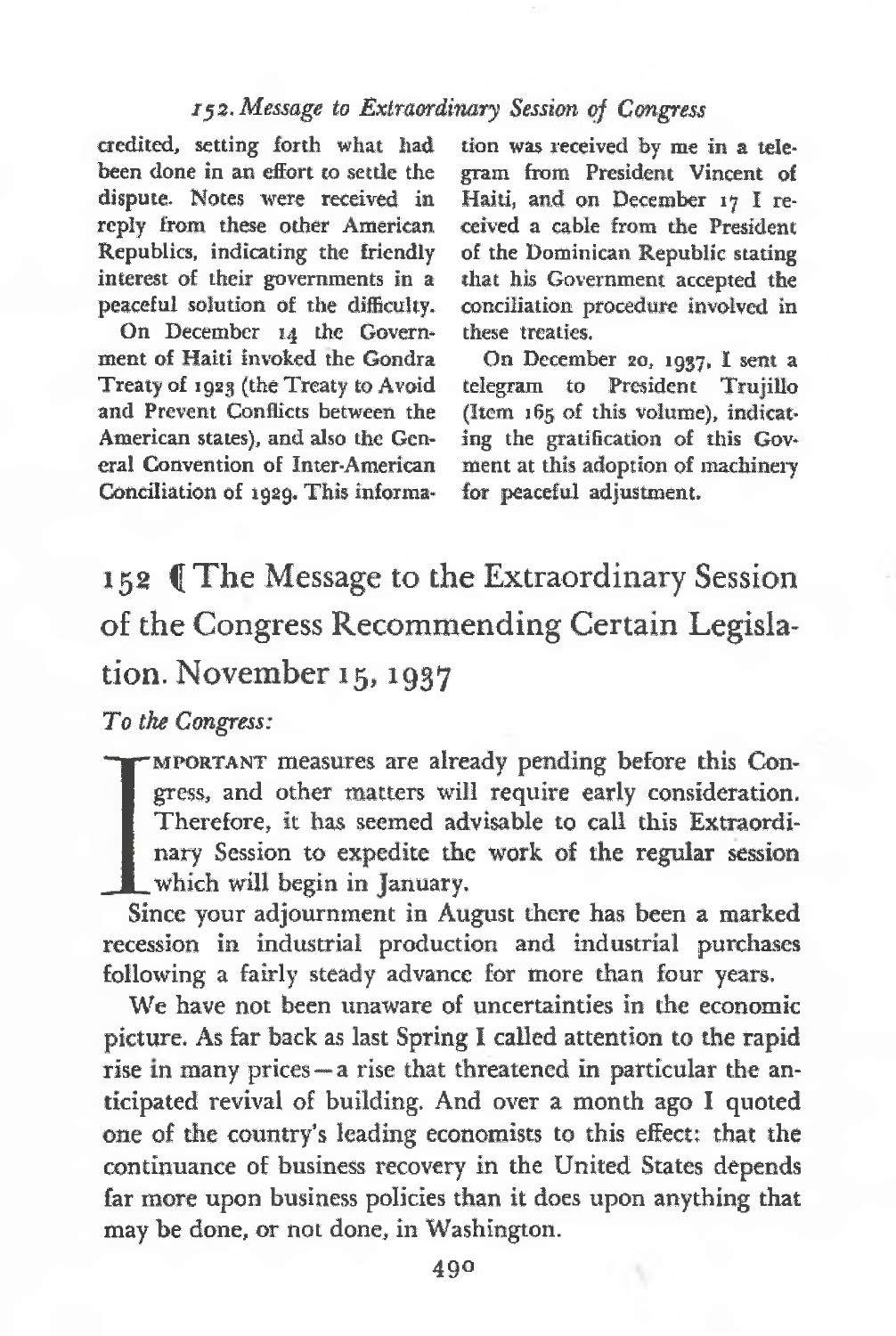# 152- *Message to Extraordinary Session of Congress*

credited, setting forth what had been done in an effort to settle the dispute. Notes were received in reply from these other American Republics, indicating the friendly interest of their governments in a peaceful solution of the difficulty.

On December 14 the Governmeat of Haiti invoked the Gondra Treaty of 1923 (the Treaty to Avoid and Prevent Conflicts between the American states), and also the General Convention of Inter-American Conciliation of 1929. This information was received by me in a telegram from President Vincent of Haiti, and on December <sup>17</sup> I received a cable from the President of the Dominican Republic stating that his Government accepted the conciliation procedure involved in these treaties.

On December 20, 1937, I sent a telegram to President Trujillo (Item 165 of this volume), indicating the gratification of this Govment at this adoption of machinery for peaceful adjustment.

152 ([The Message to the Extraordinary Session of the Congress Recommending Certain Legislation. November 15,1937

*To the Congress:*

mportant measures are already pending before this Congress, and other matters will require early consideration. Therefore, it has seemed advisable to call this Extraordinary Session to expedite the work of the regular session which will begin in January.

 $\frac{1}{\sin \theta}$ Since your adjournment in August there has been a marked recession in industrial production and industrial purchases following a fairly steady advance for more than four years.

We have not been unaware of uncertainties in the economic picture. As far back as last Spring I called attention to the rapid rise in many prices—a rise that threatened in particular the anticipated revival of building. And over a month ago I quoted one of the country's leading economists to this effect: that the continuance of business recovery in the United States depends far more upon business policies than it does upon anything that may be done, or not done, in Washington.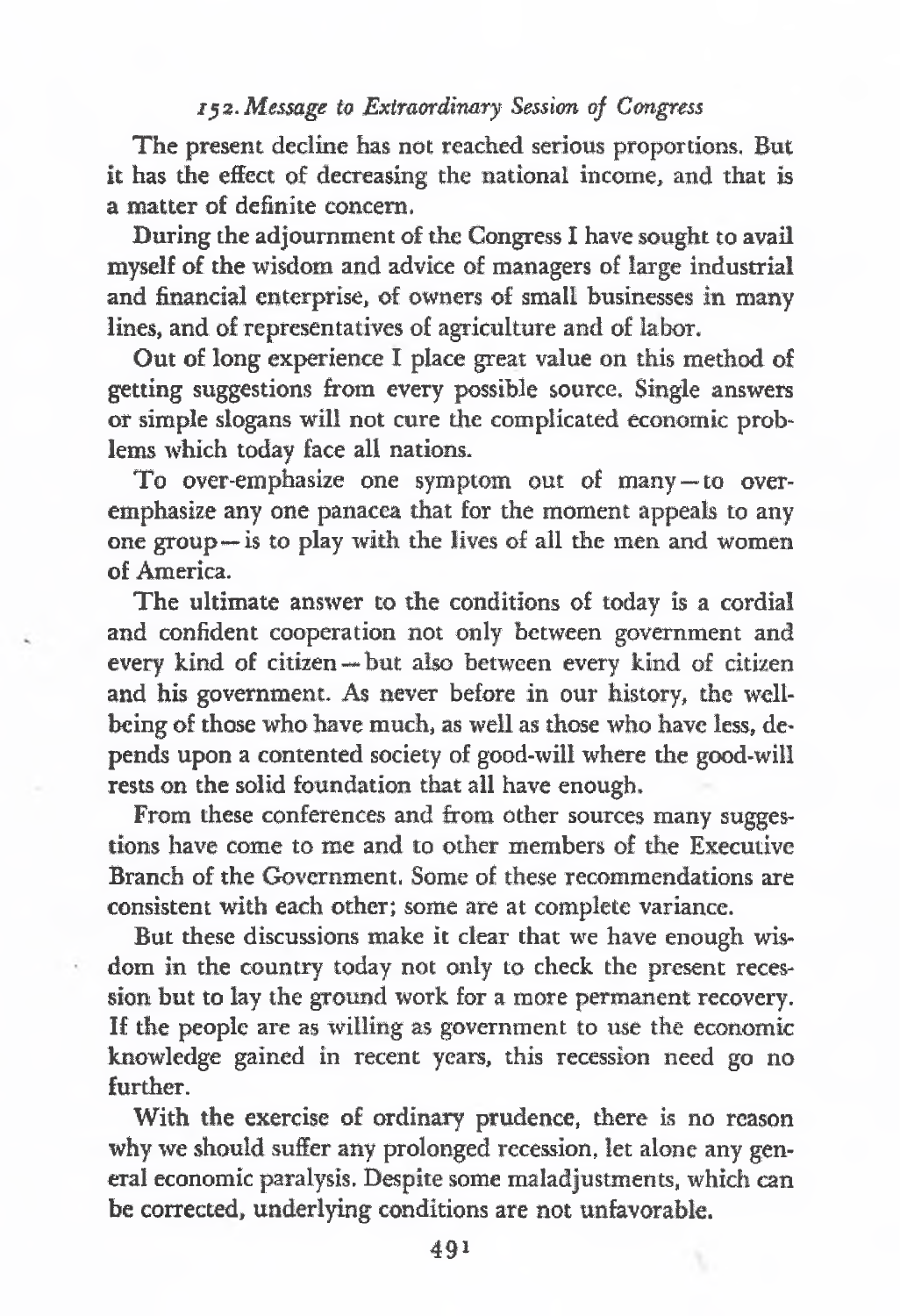# zys. *Message to Extraordinary Session of Congress*

The present decline has not reached serious proportions, But it has the effect of decreasing the national income, and that is a matter of definite concern.

During the adjournment of the Congress I have sought to avail myself of the wisdom and advice of managers of large industrial and financial enterprise, of owners of small businesses in many lines, and of representatives of agriculture and of labor.

Out of long experience I place great value on this method of getting suggestions from every possible source. Single answers or simple slogans will not cure the complicated economic problems which today face all nations.

To over-emphasize one symptom out of many—to overemphasize any one panacea that for the moment appeals to any one group—is to play with the lives of all the men and women of America.

The ultimate answer to the conditions of today is a cordial and confident cooperation not only between government and every kind of citizen—but also between every kind of citizen and his government. As never before in our history, the wellbeing of those who have much, as well as those who have less, depends upon a contented society of good-will where the good-will rests on the solid foundation that all have enough.

From these conferences and from other sources many suggestions have come to me and to other members of the Executive Branch of the Government. Some of these recommendations are consistent with each other; some are at complete variance.

But these discussions make it clear that we have enough wisdom in the country today not only to check the present recession but to lay the ground work for a more permanent recovery. If the people are as willing as government to use the economic knowledge gained in recent years, this recession need go no further.

With the exercise of ordinary prudence, there is no reason why we should suffer any prolonged recession, let alone any general economic paralysis. Despite some maladjustments, which can be corrected, underlying conditions are not unfavorable.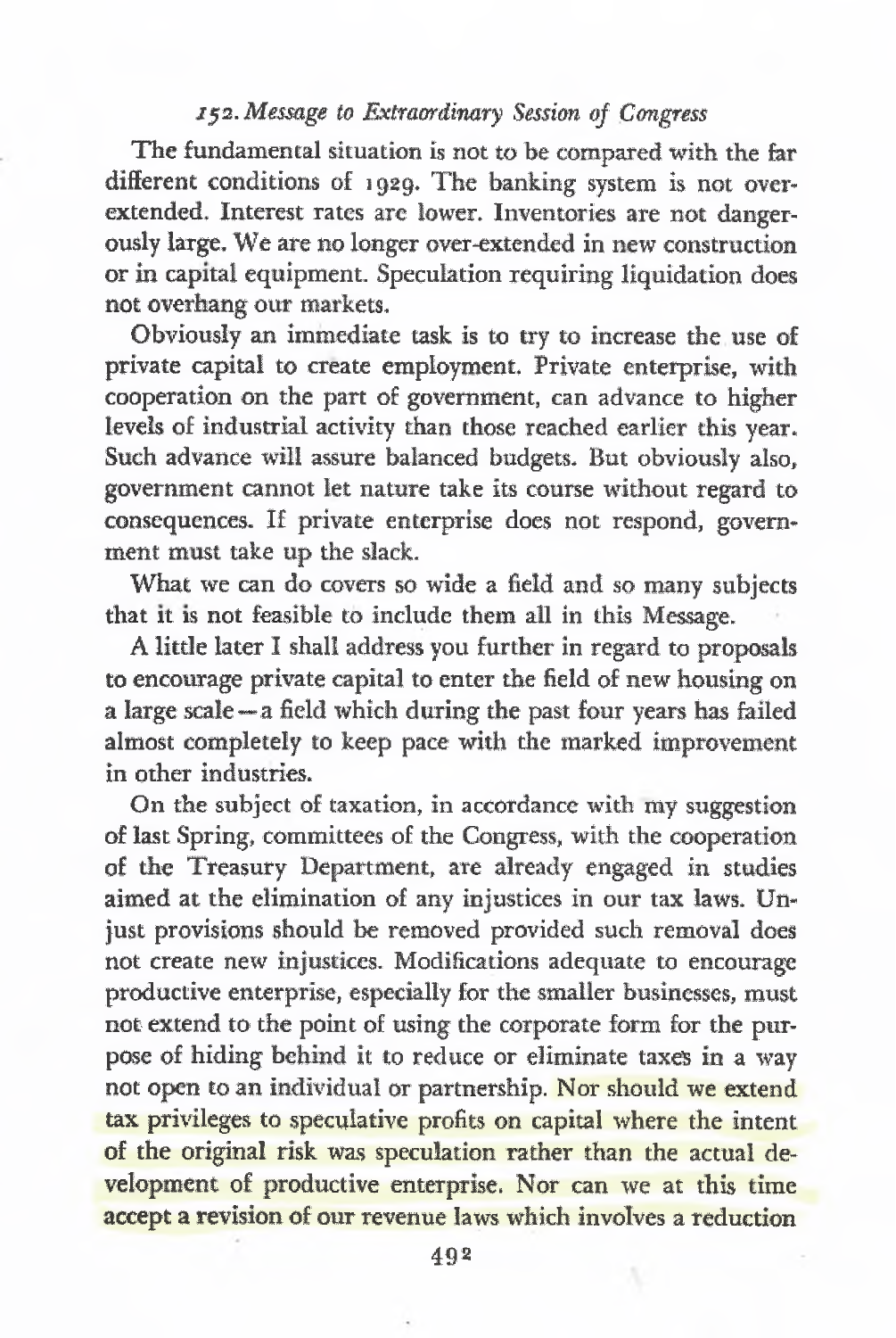# *152. Message to Extraordinary Session of Congress*

The fundamental situation is not to be compared with the far different conditions of 1929. The banking system is not overextended. Interest rates are lower. Inventories are not dangerously large. We are no longer over-extended in new construction or in capital equipment. Speculation requiring liquidation does not overhang our markets.

Obviously an immediate task is to try to increase the use of private capital to create employment. Private enterprise, with cooperation on the part of government, can advance to higher levels of industrial activity than those reached earlier this year. Such advance will assure balanced budgets. But obviously also, government cannot let nature take its course without regard to consequences. If private enterprise does not respond, government must take up the slack.

What we can do covers so wide a field and so many subjects that it is not feasible to include them all in this Message.

A little later I shall address you further in regard to proposals to encourage private capital to enter the field of new housing on a large scale—a field which during the past four years has failed almost completely to keep pace with the marked improvement in other industries.

On the subject of taxation, in accordance with my suggestion of last Spring, committees of the Congress, with the cooperation of the Treasury Department, are already engaged in studies aimed at the elimination of any injustices in our tax laws. Unjust provisions should be removed provided such removal does not create new injustices. Modifications adequate to encourage productive enterprise, especially for the smaller businesses, must not extend to the point of using the corporate form for the purpose of hiding behind it to reduce or eliminate taxes in a way not open to an individual or partnership. Nor should we extend tax privileges to speculative profits on capital where the intent of the original risk was speculation rather than the actual development of productive enterprise. Nor can we at this time accept a revision of our revenue laws which involves a reduction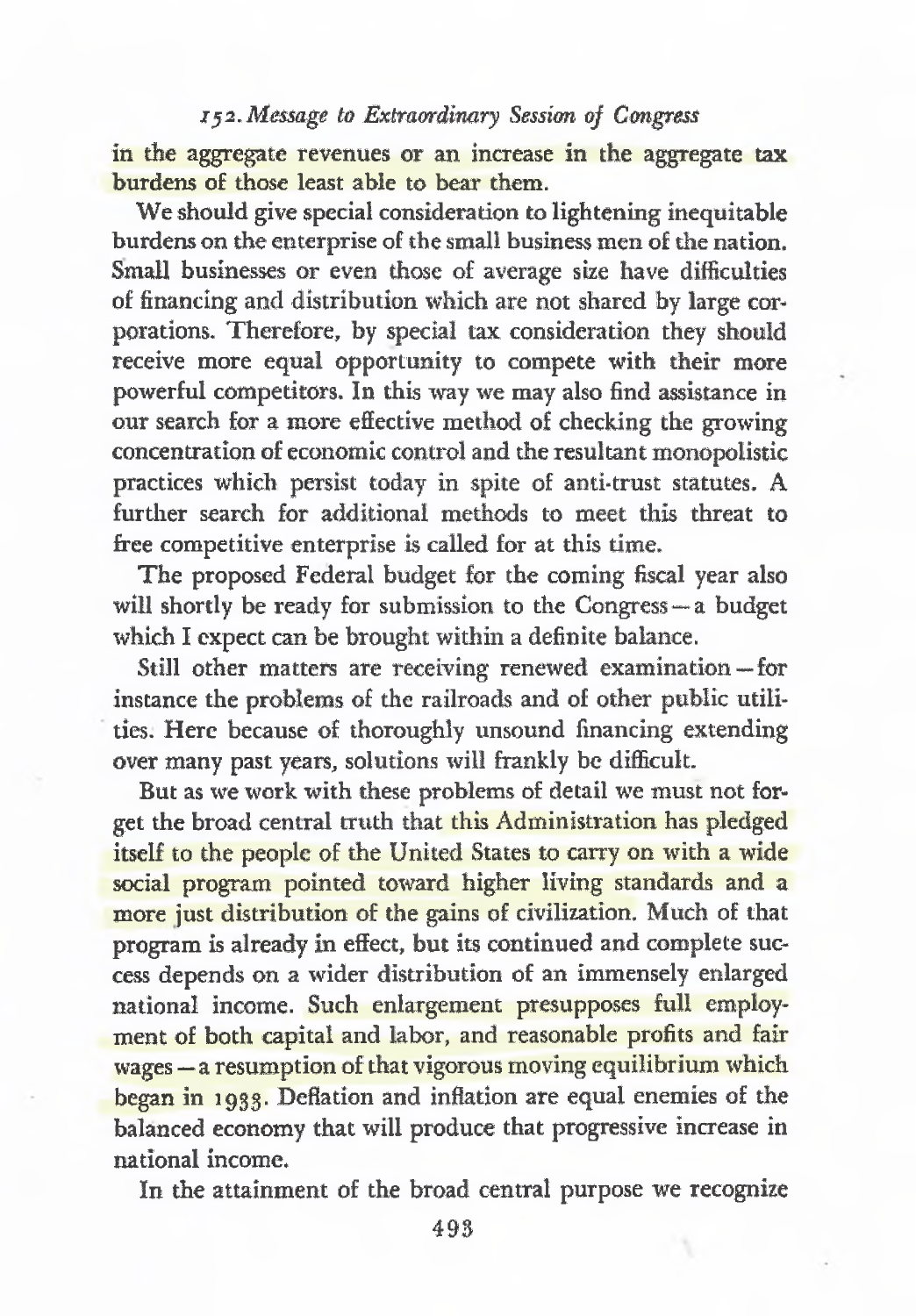# *j52.Message to Extraordinary Session of Congress*

in the aggregate revenues or an increase in the aggregate tax burdens o£ those least able to bear them.

We should give special consideration to lightening inequitable burdens on the enterprise of the small business men of the nation. Small businesses or even those of average size have difficulties of financing and distribution which are not shared by large corporations. Therefore, by special tax consideration they should receive more equal opportunity to compete with their more powerful competitors. In this way we may also find assistance in our search for a more effective method of checking the growing concentration of economic control and the resultant monopolistic practices which persist today in spite of anti-trust statutes. A further search for additional methods to meet this threat to free competitive enterprise is called for at this time.

The proposed Federal budget for the coming fiscal year also will shortly be ready for submission to the Congress—a budget which I expect can be brought within a definite balance.

Still other matters are receiving renewed examination — for instance the problems of the railroads and of other public utilities. Here because of thoroughly unsound financing extending over many past years, solutions will frankly be difficult.

But as we work with these problems of detail we must not forget the broad central truth that this Administration has pledged itself to the people of the United States to carry on with a wide social program pointed toward higher living standards and a more just distribution of the gains of civilization. Much of that program is already in effect, but its continued and complete success depends on a wider distribution of an immensely enlarged national income. Such enlargement presupposes full employment of both capital and labor, and reasonable profits and fair wages — a resumption of that vigorous moving equilibrium which began in 1933. Deflation and inflation are equal enemies of the balanced economy that will produce that progressive increase in national income.

In the attainment of the broad central purpose we recognize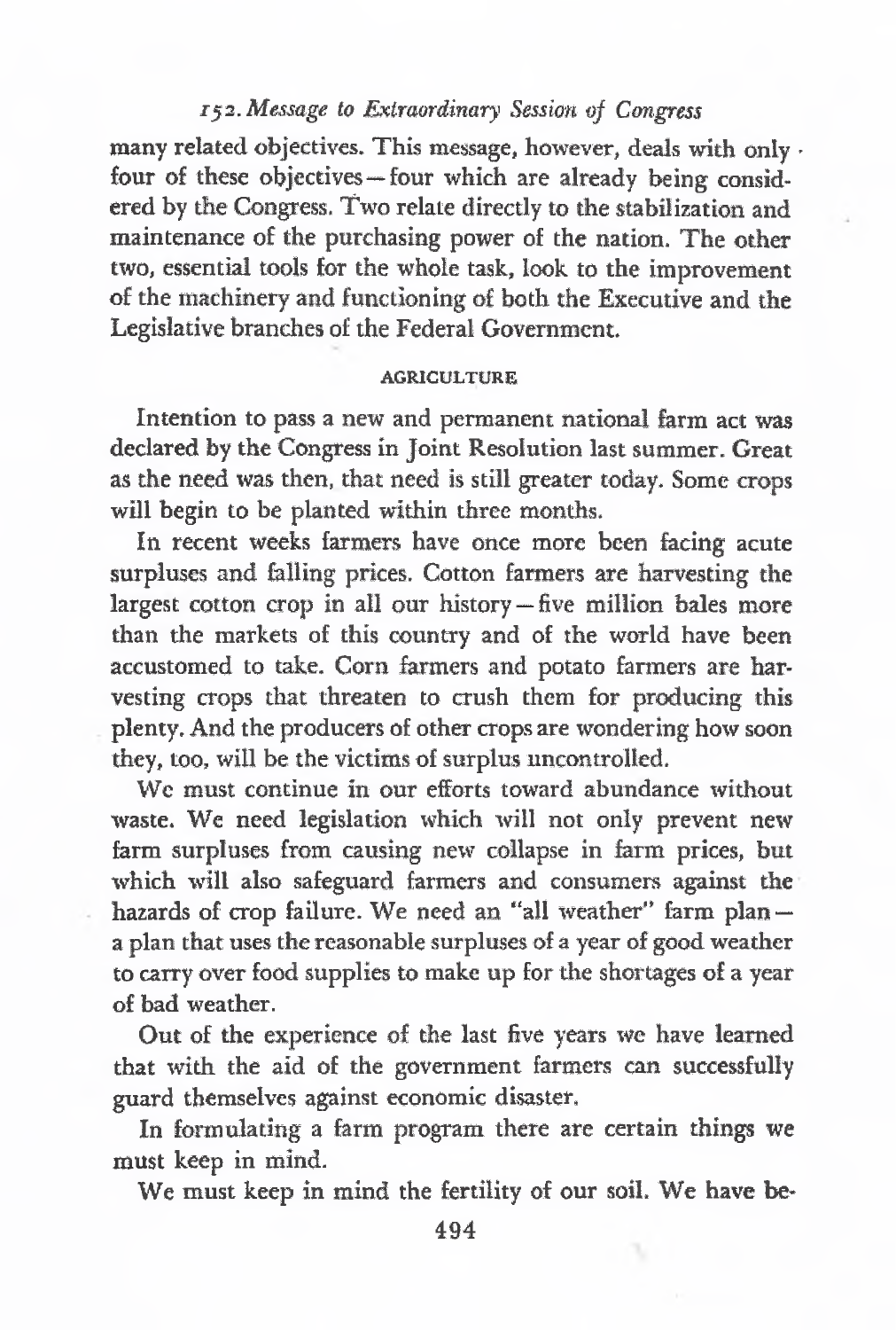### *152. Message to Extraordinary Session of Congress*

many related objectives. This message, however, deals with only • four of these objectives—four which are already being considered by the Congress. Two relate directly to the stabilization and maintenance of the purchasing power of the nation. The other two, essential tools for the whole task, look to the improvement of the machinery and functioning of both the Executive and the Legislative branches of the Federal Government.

#### **AGRICULTURE**

Intention to pass a new and permanent national farm act was declared by the Congress in Joint Resolution last summer. Great as the need was then, that need is still greater today. Some crops will begin to be planted within three months.

In recent weeks farmers have once more been facing acute surpluses and felling prices. Cotton farmers are harvesting the largest cotton crop in all our history—five million bales more than the markets of this country and of the world have been accustomed to take. Corn farmers and potato farmers are harvesting crops that threaten to crush them for producing this plenty. And the producers of other crops are wondering how soon they, too, will be the victims of surplus uncontrolled.

We must continue in our efforts toward abundance without waste. We need legislation which will not only prevent new farm surpluses from causing new collapse in farm prices, but which will also safeguard farmers and consumers against the hazards of crop failure. We need an "all weather" farm plan a plan that uses the reasonable surpluses of a year of good weather to carry over food supplies to make up for the shortages of a year of bad weather.

Out of the experience of the last five years we have learned that with the aid of the government farmers can successfully guard themselves against economic disaster.

In formulating a farm program there are certain things we must keep in mind.

We must keep in mind the fertility of our soil. We have be-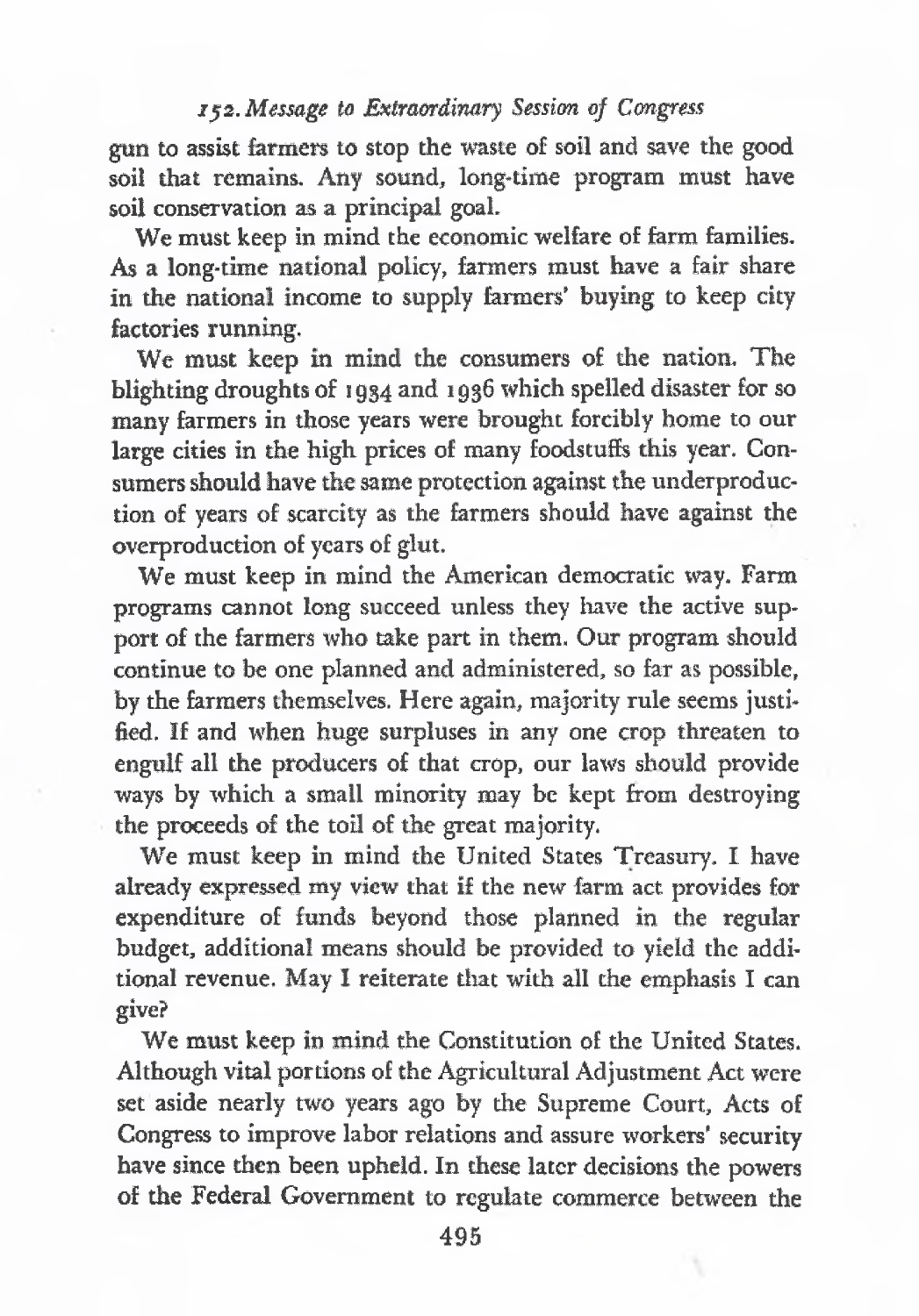### jjs. *Message to Extraordinary Session of Congress*

gun to assist farmers to stop the waste of soil and save the good soil that remains. Any sound, long-time program must have soil conservation as a principal goal.

We must keep in mind the economic welfare of farm families. As a long-time national policy, farmers must have a fair share in the national income to supply farmers' buying to keep city factories running,

We must keep in mind the consumers of the nation. The blighting droughts of 1934 and 1936 which spelled disaster for so many farmers in those years were brought forcibly home to our large cities in the high prices of many foodstuffs this year. Consumers should have the same protection against the underproduction of years of scarcity as the farmers should have against the overproduction of years of glut.

We must keep in mind the American democratic way. Farm programs cannot long succeed unless they have the active support of the farmers who take part in them, Our program should continue to be one planned and administered, so far as possible, by the farmers themselves. Here again, majority rule seems justified. If and when huge surpluses in any one crop threaten to engulf all the producers of that crop, our laws should provide ways by which a small minority may be kept from destroying the proceeds of the toil of the great majority.

We must keep in mind the United States Treasury. I have already expressed my view that if the new farm act provides for expenditure of funds beyond those planned in the regular budget, additional means should be provided to yield the additional revenue. May I reiterate that with all the emphasis I can give?

We must keep in mind the Constitution of the United States. Although vital portions of the Agricultural Adjustment Act were set aside nearly two years ago by die Supreme Court, Acts of Congress to improve labor relations and assure workers' security have since then been upheld. In these later decisions the powers of the Federal Government to regulate commerce between the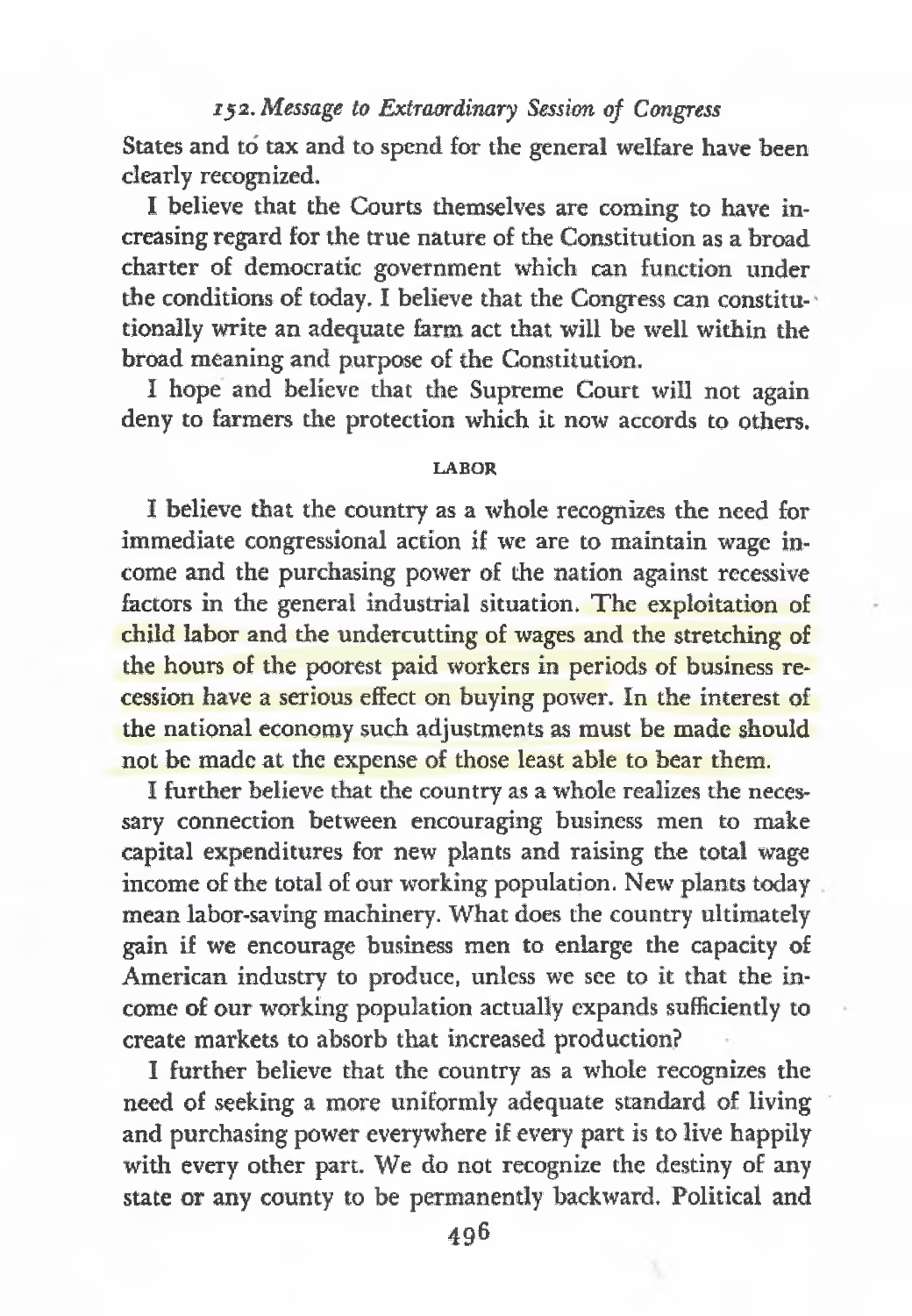### *152. Message to Extraordinary Session of Congress*

States and to tax and to spend for the general welfare have been dearly recognized.

I believe that the Courts themselves are coming to have increasing regard for the true nature of the Constitution as a broad charter of democratic government which can function under the conditions of today. I believe that the Congress can constitutionally write an adequate farm act that will be well within the broad meaning and purpose of the Constitution.

I hope and believe that the Supreme Court will not again deny to farmers the protection which it now accords to others.

#### **LABOR**

I believe that the country as a whole recognizes the need for immediate congressional action if we are to maintain wage income and the purchasing power of the nation against recessive factors in the general industrial situation. The exploitation of child labor and the undercutting of wages and the stretching of the hours of the poorest paid workers in periods of business recession have a serious effect on buying power. In the interest of the national economy such adjustments as must be made should not be made at the expense of those least able to bear them.

I further believe that the country as a whole realizes the necessary connection between encouraging business men to make capital expenditures for new plants and raising the total wage income of the total of our working population. New plants today mean labor-saving machinery. What does the country ultimately gain if we encourage business men to enlarge the capacity of American industry to produce, unless we see to it that the income of our working population actually expands sufficiently to create markets to absorb that increased production?

I further believe that the country as a whole recognizes the need of seeking a more uniformly adequate standard of living and purchasing power everywhere if every part is to live happily with every other part. We do not recognize the destiny of any state or any county to be permanently backward. Political and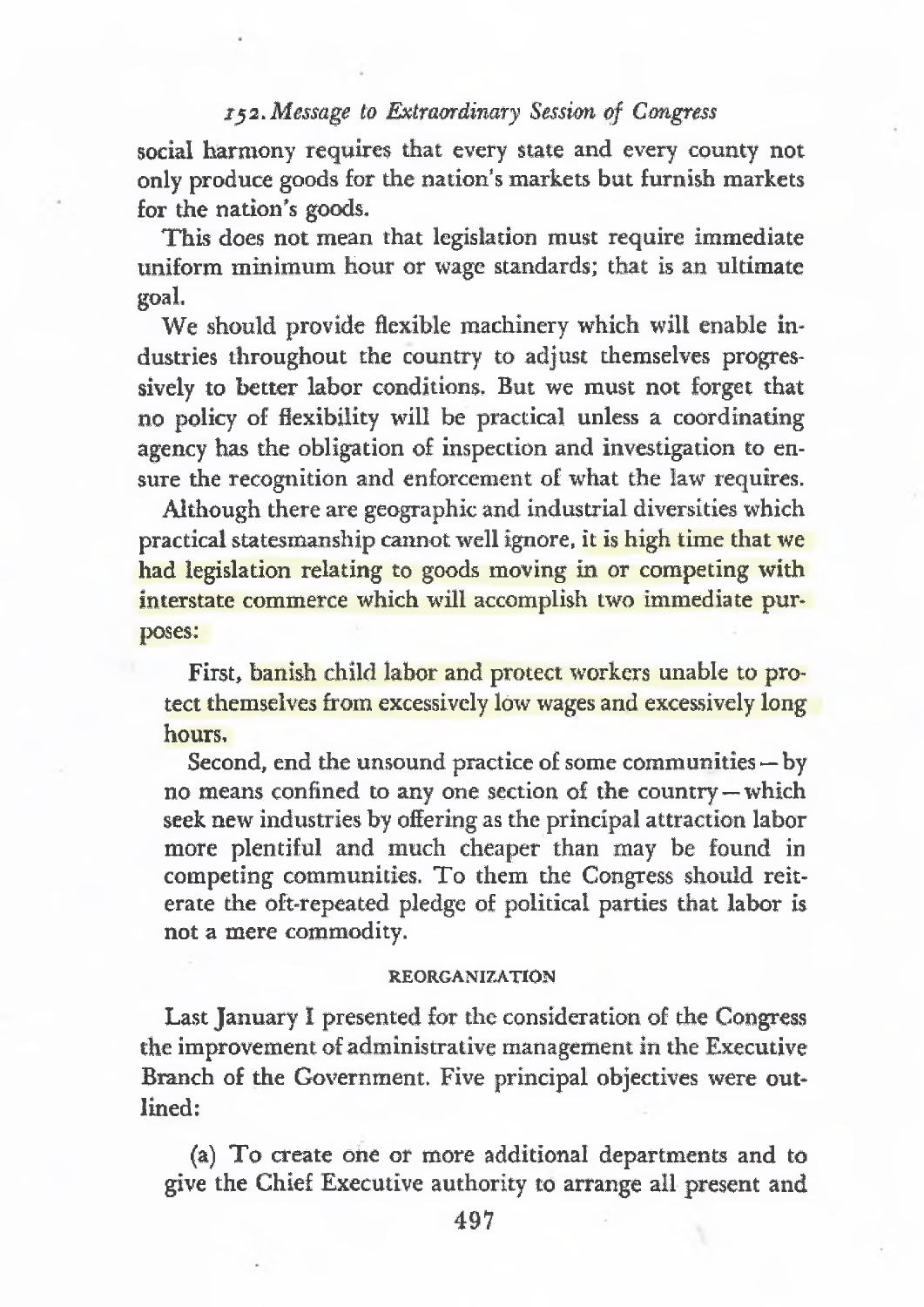### *ry2. Message to Extraordinary Session of Congress*

social harmony requires that every state and every county not only produce goods for the nation's markets but furnish markets for the nation's goods.

This does not mean that legislation must require immediate uniform minimum hour or wage standards; that is an ultimate goal.

We should provide flexible machinery which will enable industries throughout the country to adjust themselves progressively to better labor conditions. But we must not forget that no policy of flexibility will be practical unless a coordinating agency has the obligation of inspection and investigation to ensure the recognition and enforcement of what the law requires.

Although there are geographic and industrial diversities which practical statesmanship cannot well ignore, it is high time that we had legislation relating to goods moving in or competing with interstate commerce which will accomplish two immediate purposes:

First, banish child labor and protect workers unable to protect themselves from excessively low wages and excessively long hours.

Second, end the unsound practice of some communities—by no means confined to any one section of the country—which seek new industries by offering as the principal attraction labor more plentiful and much cheaper than may be found in competing communities. To them the Congress should reiterate the oft-repeated pledge of political parties that labor is not a mere commodity.

#### **REORGANIZATION**

LastJanuary I presented for the consideration of the Congress the improvement of administrative management in the Executive Branch of the Government. Five principal objectives were outlined:

(a) To create one or more additional departments and to give the Chief Executive authority to arrange all present and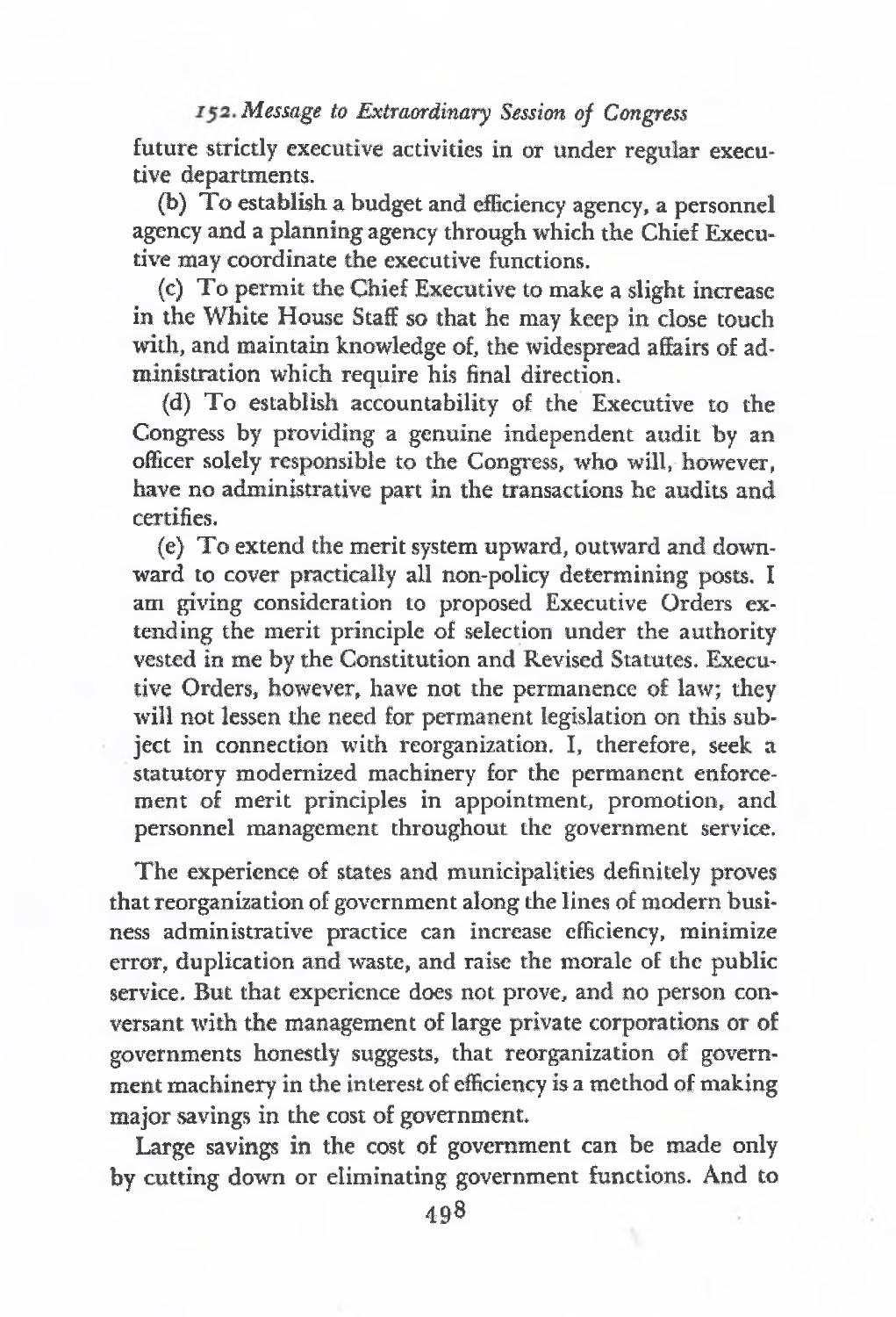*Message to Extraordinary' Session of Congress*

future strictly executive activities in or under regular executive departments.

(b) To establish a budget and efficiency agency, a personnel agency and a planning agency through which the Chief Executive may coordinate the executive functions.

(c) To permit the Chief Executive to make a slight increase in the White House Staff so that he may keep in close touch with, and maintain knowledge of, the widespread affairs of administration which require his final direction.

(d) To establish accountability of the Executive to the Congress by providing a genuine independent audit by an officer solely responsible to the Congress, who will, however, have no administrative part in the transactions he audits and certifies.

(e) To extend the merit system upward, outward and downward to cover practically all non-policy determining posts. I am giving consideration to proposed Executive Orders extending the merit principle of selection under the authority vested in me by the Constitution and Revised Statutes. Executive Orders, however, have not the permanence of law; they will not lessen the need for permanent legislation on this subject in connection with reorganization. I, therefore, seek a statutory modernized machinery for the permanent enforcement of merit principles in appointment, promotion, and personnel management throughout the government service.

The experience of states and municipalities definitely proves that reorganization of government along the lines of modern business administrative practice can increase efficiency, minimize error, duplication and waste, and raise the morale of the public service. But that experience does not prove, and no person conversant with the management of large private corporations or of governments honestly suggests, that reorganization of government machinery in the interest of efficiency is a method of making major savings in the cost of government.

Large savings in the cost of government can be made only by cutting down or eliminating government functions. And to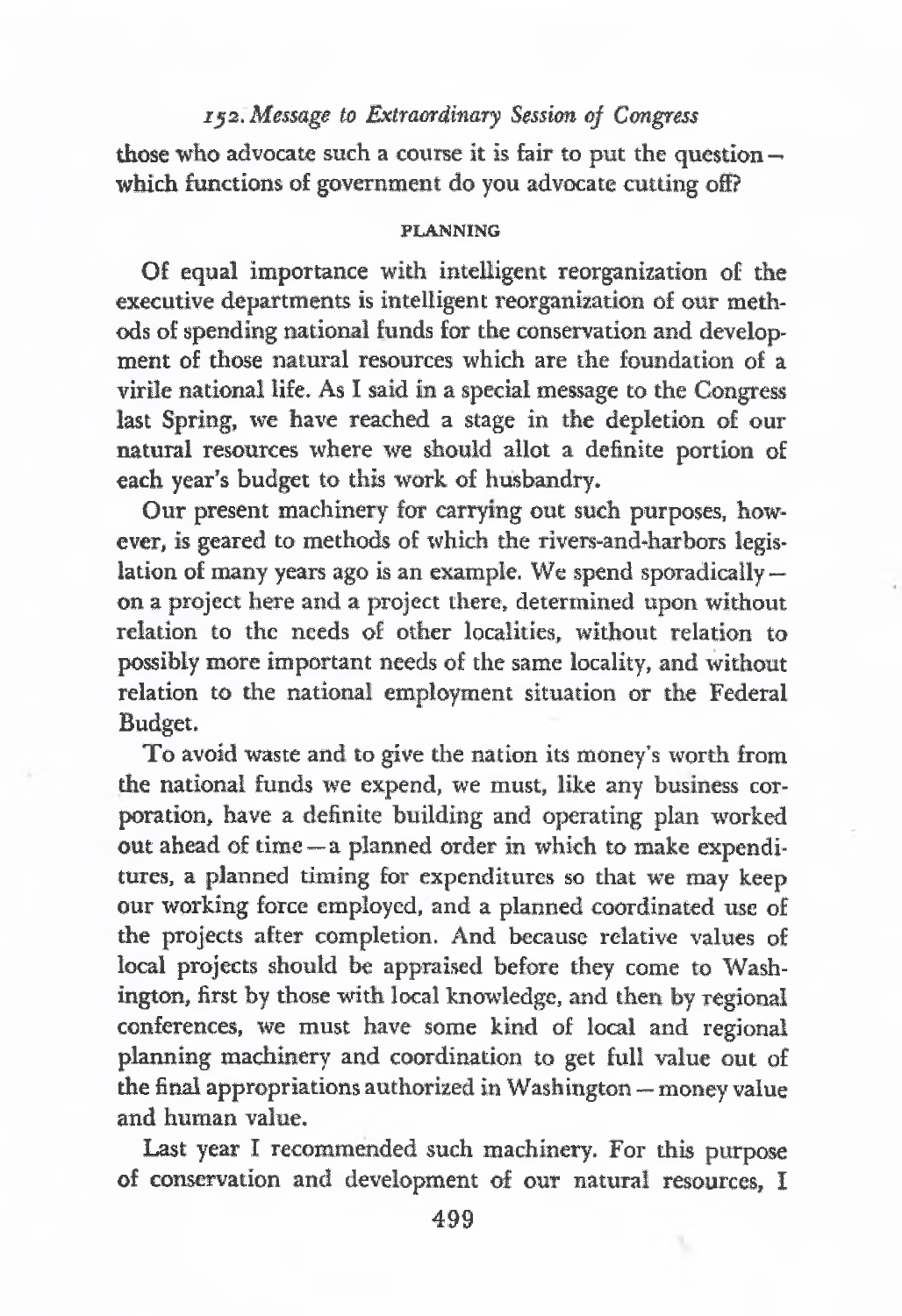## *ija. Message to Extraordinary Session of Congress*

those who advocate such a course it is fair to put the question  $$ which functions of government do you advocate cutting off?

#### **PLANNING**

Of equal importance with intelligent reorganization of the executive departments is intelligent reorganization of our methods of spending national funds for the conservation and development of those natural resources which are the foundation of a virile national life. As I said in a special message to the Congress last Spring, we have reached a stage in the depletion of our natural resources where we should allot a definite portion of each year's budget to this work of husbandry.

Our present machinery for carrying out such purposes, however, is geared to methods of which the rivers-and-harbors legislation of many years ago is an example. We spend sporadically on a project here and a project there, determined upon without relation to the needs of other localities, without relation to possibly more important needs of the same locality, and without relation to the national employment situation or the Federal Budget.

To avoid waste and to give the nation its money'<sup>s</sup> worth from the national funds we expend, we must, like any business corporation, have a definite building and operating plan worked out ahead of time—a planned order in which to make expenditures, a planned timing for expenditures so that we may keep our working force employed, and a planned coordinated use of the projects after completion. And because relative values of local projects should be appraised before they come to Washington, first by those with local knowledge, and then by regional conferences, we must have some kind of local and regional planning machinery and coordination to get full value out of the final appropriations authorized in Washington — money value and human value.

Last year I recommended such machinery. For this purpose of conservation and development of our natural resources, I